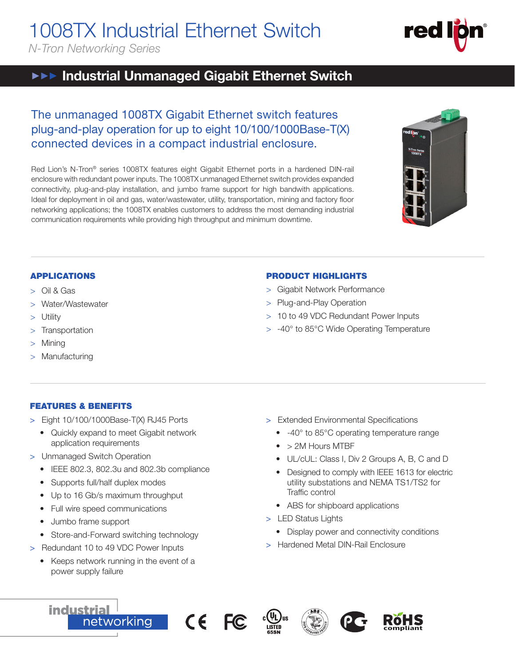# 1008TX Industrial Ethernet Switch

*N-Tron Networking Series*

# **▶▶▶ Industrial Unmanaged Gigabit Ethernet Switch**

# The unmanaged 1008TX Gigabit Ethernet switch features plug-and-play operation for up to eight 10/100/1000Base-T(X) connected devices in a compact industrial enclosure.

Red Lion's N-Tron® series 1008TX features eight Gigabit Ethernet ports in a hardened DIN-rail enclosure with redundant power inputs. The 1008TX unmanaged Ethernet switch provides expanded connectivity, plug-and-play installation, and jumbo frame support for high bandwith applications. Ideal for deployment in oil and gas, water/wastewater, utility, transportation, mining and factory floor networking applications; the 1008TX enables customers to address the most demanding industrial communication requirements while providing high throughput and minimum downtime.



### APPLICATIONS

- > Oil & Gas
- Water/Wastewater
- **Utility**
- > Transportation
- **Mining**
- Manufacturing

## FEATURES & BENEFITS

- > Eight 10/100/1000Base-T(X) RJ45 Ports
	- Quickly expand to meet Gigabit network application requirements
- > Unmanaged Switch Operation
	- IEEE 802.3, 802.3u and 802.3b compliance
	- Supports full/half duplex modes
	- Up to 16 Gb/s maximum throughput
	- Full wire speed communications
	- Jumbo frame support

**industrial** 

- Store-and-Forward switching technology
- > Redundant 10 to 49 VDC Power Inputs
	- Keeps network running in the event of a power supply failure

networking

### PRODUCT HIGHLIGHTS

- > Gigabit Network Performance
- > Plug-and-Play Operation
- > 10 to 49 VDC Redundant Power Inputs
- > -40° to 85°C Wide Operating Temperature

- > Extended Environmental Specifications
	- -40° to 85°C operating temperature range
	- > 2M Hours MTBF
	- UL/cUL: Class I, Div 2 Groups A, B, C and D
	- Designed to comply with IEEE 1613 for electric utility substations and NEMA TS1/TS2 for Traffic control
	- ABS for shipboard applications
- > LED Status Lights
	- Display power and connectivity conditions
- > Hardened Metal DIN-Rail Enclosure







**compliant**